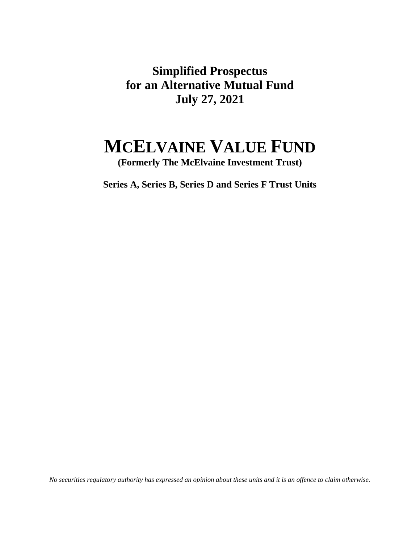**Simplified Prospectus for an Alternative Mutual Fund July 27, 2021** 

# **MCELVAINE VALUE FUND**

**(Formerly The McElvaine Investment Trust)** 

**Series A, Series B, Series D and Series F Trust Units**

*No securities regulatory authority has expressed an opinion about these units and it is an offence to claim otherwise.*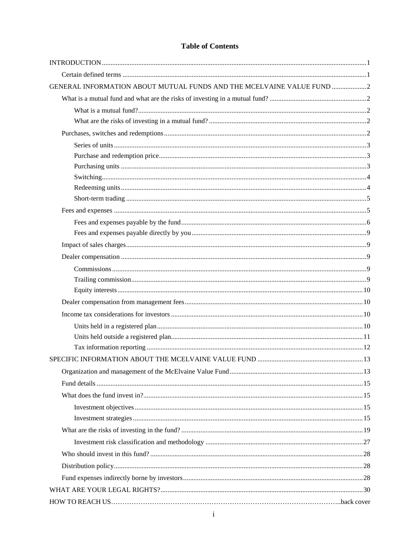# **Table of Contents**

| GENERAL INFORMATION ABOUT MUTUAL FUNDS AND THE MCELVAINE VALUE FUND 2 |  |
|-----------------------------------------------------------------------|--|
|                                                                       |  |
|                                                                       |  |
|                                                                       |  |
|                                                                       |  |
|                                                                       |  |
|                                                                       |  |
|                                                                       |  |
|                                                                       |  |
|                                                                       |  |
|                                                                       |  |
|                                                                       |  |
|                                                                       |  |
|                                                                       |  |
|                                                                       |  |
|                                                                       |  |
|                                                                       |  |
|                                                                       |  |
|                                                                       |  |
|                                                                       |  |
|                                                                       |  |
|                                                                       |  |
|                                                                       |  |
|                                                                       |  |
|                                                                       |  |
|                                                                       |  |
|                                                                       |  |
|                                                                       |  |
|                                                                       |  |
|                                                                       |  |
|                                                                       |  |
|                                                                       |  |
|                                                                       |  |
|                                                                       |  |
|                                                                       |  |
|                                                                       |  |
|                                                                       |  |
|                                                                       |  |
|                                                                       |  |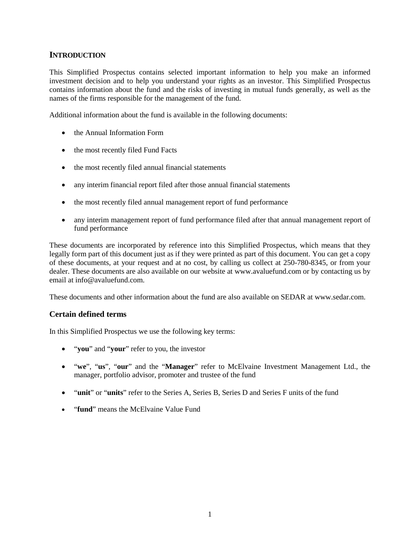# <span id="page-2-0"></span>**INTRODUCTION**

This Simplified Prospectus contains selected important information to help you make an informed investment decision and to help you understand your rights as an investor. This Simplified Prospectus contains information about the fund and the risks of investing in mutual funds generally, as well as the names of the firms responsible for the management of the fund.

Additional information about the fund is available in the following documents:

- the Annual Information Form
- the most recently filed Fund Facts
- the most recently filed annual financial statements
- any interim financial report filed after those annual financial statements
- the most recently filed annual management report of fund performance
- any interim management report of fund performance filed after that annual management report of fund performance

These documents are incorporated by reference into this Simplified Prospectus, which means that they legally form part of this document just as if they were printed as part of this document. You can get a copy of these documents, at your request and at no cost, by calling us collect at 250-780-8345, or from your dealer. These documents are also available on our website at www.avaluefund.com or by contacting us by email at info@avaluefund.com.

These documents and other information about the fund are also available on SEDAR at www.sedar.com.

# <span id="page-2-1"></span>**Certain defined terms**

In this Simplified Prospectus we use the following key terms:

- "**you**" and "**your**" refer to you, the investor
- "**we**", "**us**", "**our**" and the "**Manager**" refer to McElvaine Investment Management Ltd., the manager, portfolio advisor, promoter and trustee of the fund
- "**unit**" or "**units**" refer to the Series A, Series B, Series D and Series F units of the fund
- "**fund**" means the McElvaine Value Fund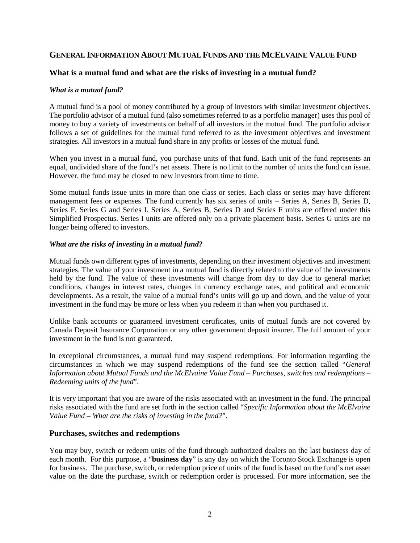# <span id="page-3-0"></span>**GENERAL INFORMATION ABOUT MUTUAL FUNDS AND THE MCELVAINE VALUE FUND**

# <span id="page-3-1"></span>**What is a mutual fund and what are the risks of investing in a mutual fund?**

#### <span id="page-3-2"></span>*What is a mutual fund?*

A mutual fund is a pool of money contributed by a group of investors with similar investment objectives. The portfolio advisor of a mutual fund (also sometimes referred to as a portfolio manager) uses this pool of money to buy a variety of investments on behalf of all investors in the mutual fund. The portfolio advisor follows a set of guidelines for the mutual fund referred to as the investment objectives and investment strategies. All investors in a mutual fund share in any profits or losses of the mutual fund.

When you invest in a mutual fund, you purchase units of that fund. Each unit of the fund represents an equal, undivided share of the fund's net assets. There is no limit to the number of units the fund can issue. However, the fund may be closed to new investors from time to time.

Some mutual funds issue units in more than one class or series. Each class or series may have different management fees or expenses. The fund currently has six series of units – Series A, Series B, Series D, Series F, Series G and Series I. Series A, Series B, Series D and Series F units are offered under this Simplified Prospectus. Series I units are offered only on a private placement basis. Series G units are no longer being offered to investors.

#### <span id="page-3-3"></span>*What are the risks of investing in a mutual fund?*

Mutual funds own different types of investments, depending on their investment objectives and investment strategies. The value of your investment in a mutual fund is directly related to the value of the investments held by the fund. The value of these investments will change from day to day due to general market conditions, changes in interest rates, changes in currency exchange rates, and political and economic developments. As a result, the value of a mutual fund's units will go up and down, and the value of your investment in the fund may be more or less when you redeem it than when you purchased it.

Unlike bank accounts or guaranteed investment certificates, units of mutual funds are not covered by Canada Deposit Insurance Corporation or any other government deposit insurer. The full amount of your investment in the fund is not guaranteed.

In exceptional circumstances, a mutual fund may suspend redemptions. For information regarding the circumstances in which we may suspend redemptions of the fund see the section called "*General Information about Mutual Funds and the McElvaine Value Fund – Purchases, switches and redemptions – Redeeming units of the fund*".

It is very important that you are aware of the risks associated with an investment in the fund. The principal risks associated with the fund are set forth in the section called "*Specific Information about the McElvaine Value Fund – What are the risks of investing in the fund?*".

#### <span id="page-3-4"></span>**Purchases, switches and redemptions**

You may buy, switch or redeem units of the fund through authorized dealers on the last business day of each month. For this purpose, a "**business day**" is any day on which the Toronto Stock Exchange is open for business. The purchase, switch, or redemption price of units of the fund is based on the fund's net asset value on the date the purchase, switch or redemption order is processed. For more information, see the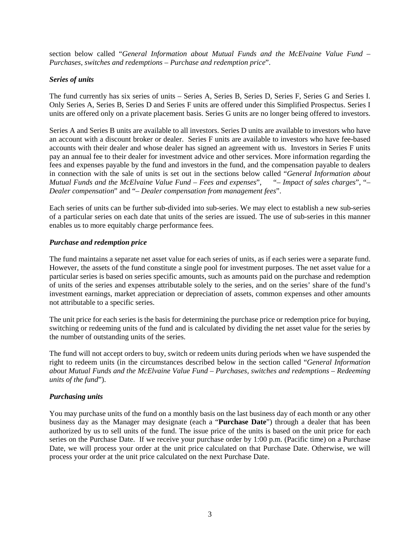section below called "*General Information about Mutual Funds and the McElvaine Value Fund – Purchases, switches and redemptions – Purchase and redemption price*".

# <span id="page-4-0"></span>*Series of units*

The fund currently has six series of units – Series A, Series B, Series D, Series F, Series G and Series I. Only Series A, Series B, Series D and Series F units are offered under this Simplified Prospectus. Series I units are offered only on a private placement basis. Series G units are no longer being offered to investors.

Series A and Series B units are available to all investors. Series D units are available to investors who have an account with a discount broker or dealer. Series F units are available to investors who have fee-based accounts with their dealer and whose dealer has signed an agreement with us. Investors in Series F units pay an annual fee to their dealer for investment advice and other services. More information regarding the fees and expenses payable by the fund and investors in the fund, and the compensation payable to dealers in connection with the sale of units is set out in the sections below called "*General Information about Mutual Funds and the McElvaine Value Fund – Fees and expenses*", "*– Impact of sales charges*", "*– Dealer compensation*" and "*– Dealer compensation from management fees*".

Each series of units can be further sub-divided into sub-series. We may elect to establish a new sub-series of a particular series on each date that units of the series are issued. The use of sub-series in this manner enables us to more equitably charge performance fees.

#### <span id="page-4-1"></span>*Purchase and redemption price*

The fund maintains a separate net asset value for each series of units, as if each series were a separate fund. However, the assets of the fund constitute a single pool for investment purposes. The net asset value for a particular series is based on series specific amounts, such as amounts paid on the purchase and redemption of units of the series and expenses attributable solely to the series, and on the series' share of the fund's investment earnings, market appreciation or depreciation of assets, common expenses and other amounts not attributable to a specific series.

The unit price for each series is the basis for determining the purchase price or redemption price for buying, switching or redeeming units of the fund and is calculated by dividing the net asset value for the series by the number of outstanding units of the series.

The fund will not accept orders to buy, switch or redeem units during periods when we have suspended the right to redeem units (in the circumstances described below in the section called "*General Information about Mutual Funds and the McElvaine Value Fund – Purchases, switches and redemptions – Redeeming units of the fund*").

#### <span id="page-4-2"></span>*Purchasing units*

You may purchase units of the fund on a monthly basis on the last business day of each month or any other business day as the Manager may designate (each a "**Purchase Date**") through a dealer that has been authorized by us to sell units of the fund. The issue price of the units is based on the unit price for each series on the Purchase Date. If we receive your purchase order by 1:00 p.m. (Pacific time) on a Purchase Date, we will process your order at the unit price calculated on that Purchase Date. Otherwise, we will process your order at the unit price calculated on the next Purchase Date.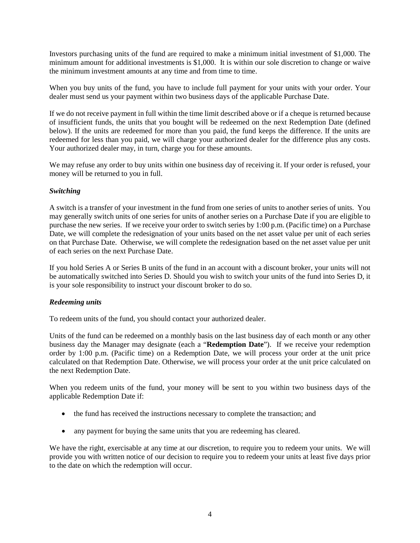Investors purchasing units of the fund are required to make a minimum initial investment of \$1,000. The minimum amount for additional investments is \$1,000. It is within our sole discretion to change or waive the minimum investment amounts at any time and from time to time.

When you buy units of the fund, you have to include full payment for your units with your order. Your dealer must send us your payment within two business days of the applicable Purchase Date.

If we do not receive payment in full within the time limit described above or if a cheque is returned because of insufficient funds, the units that you bought will be redeemed on the next Redemption Date (defined below). If the units are redeemed for more than you paid, the fund keeps the difference. If the units are redeemed for less than you paid, we will charge your authorized dealer for the difference plus any costs. Your authorized dealer may, in turn, charge you for these amounts.

We may refuse any order to buy units within one business day of receiving it. If your order is refused, your money will be returned to you in full.

# <span id="page-5-0"></span>*Switching*

A switch is a transfer of your investment in the fund from one series of units to another series of units. You may generally switch units of one series for units of another series on a Purchase Date if you are eligible to purchase the new series. If we receive your order to switch series by 1:00 p.m. (Pacific time) on a Purchase Date, we will complete the redesignation of your units based on the net asset value per unit of each series on that Purchase Date. Otherwise, we will complete the redesignation based on the net asset value per unit of each series on the next Purchase Date.

If you hold Series A or Series B units of the fund in an account with a discount broker, your units will not be automatically switched into Series D. Should you wish to switch your units of the fund into Series D, it is your sole responsibility to instruct your discount broker to do so.

#### <span id="page-5-1"></span>*Redeeming units*

To redeem units of the fund, you should contact your authorized dealer.

Units of the fund can be redeemed on a monthly basis on the last business day of each month or any other business day the Manager may designate (each a "**Redemption Date**"). If we receive your redemption order by 1:00 p.m. (Pacific time) on a Redemption Date, we will process your order at the unit price calculated on that Redemption Date. Otherwise, we will process your order at the unit price calculated on the next Redemption Date.

When you redeem units of the fund, your money will be sent to you within two business days of the applicable Redemption Date if:

- the fund has received the instructions necessary to complete the transaction; and
- any payment for buying the same units that you are redeeming has cleared.

We have the right, exercisable at any time at our discretion, to require you to redeem your units. We will provide you with written notice of our decision to require you to redeem your units at least five days prior to the date on which the redemption will occur.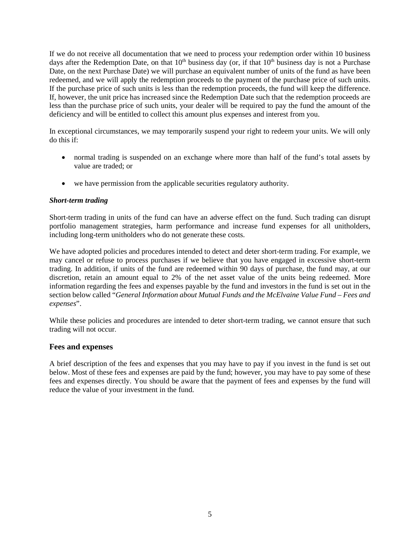If we do not receive all documentation that we need to process your redemption order within 10 business days after the Redemption Date, on that  $10<sup>th</sup>$  business day (or, if that  $10<sup>th</sup>$  business day is not a Purchase Date, on the next Purchase Date) we will purchase an equivalent number of units of the fund as have been redeemed, and we will apply the redemption proceeds to the payment of the purchase price of such units. If the purchase price of such units is less than the redemption proceeds, the fund will keep the difference. If, however, the unit price has increased since the Redemption Date such that the redemption proceeds are less than the purchase price of such units, your dealer will be required to pay the fund the amount of the deficiency and will be entitled to collect this amount plus expenses and interest from you.

In exceptional circumstances, we may temporarily suspend your right to redeem your units. We will only do this if:

- normal trading is suspended on an exchange where more than half of the fund's total assets by value are traded; or
- we have permission from the applicable securities regulatory authority.

#### <span id="page-6-0"></span>*Short-term trading*

Short-term trading in units of the fund can have an adverse effect on the fund. Such trading can disrupt portfolio management strategies, harm performance and increase fund expenses for all unitholders, including long-term unitholders who do not generate these costs.

We have adopted policies and procedures intended to detect and deter short-term trading. For example, we may cancel or refuse to process purchases if we believe that you have engaged in excessive short-term trading. In addition, if units of the fund are redeemed within 90 days of purchase, the fund may, at our discretion, retain an amount equal to 2% of the net asset value of the units being redeemed. More information regarding the fees and expenses payable by the fund and investors in the fund is set out in the section below called "*General Information about Mutual Funds and the McElvaine Value Fund – Fees and expenses*".

While these policies and procedures are intended to deter short-term trading, we cannot ensure that such trading will not occur.

#### <span id="page-6-1"></span>**Fees and expenses**

A brief description of the fees and expenses that you may have to pay if you invest in the fund is set out below. Most of these fees and expenses are paid by the fund; however, you may have to pay some of these fees and expenses directly. You should be aware that the payment of fees and expenses by the fund will reduce the value of your investment in the fund.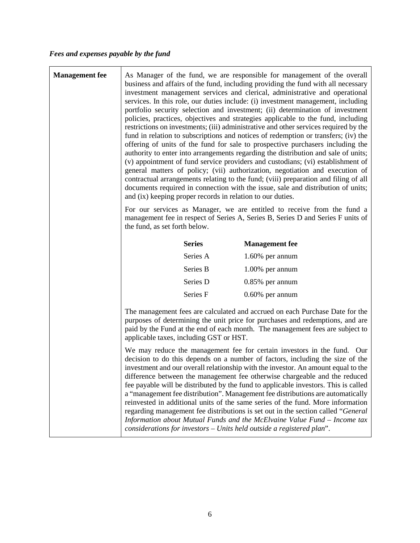<span id="page-7-0"></span>

| <b>Management</b> fee | As Manager of the fund, we are responsible for management of the overall<br>business and affairs of the fund, including providing the fund with all necessary<br>investment management services and clerical, administrative and operational<br>services. In this role, our duties include: (i) investment management, including<br>portfolio security selection and investment; (ii) determination of investment<br>policies, practices, objectives and strategies applicable to the fund, including<br>restrictions on investments; (iii) administrative and other services required by the<br>fund in relation to subscriptions and notices of redemption or transfers; (iv) the<br>offering of units of the fund for sale to prospective purchasers including the<br>authority to enter into arrangements regarding the distribution and sale of units;<br>(v) appointment of fund service providers and custodians; (vi) establishment of<br>general matters of policy; (vii) authorization, negotiation and execution of<br>contractual arrangements relating to the fund; (viii) preparation and filing of all<br>documents required in connection with the issue, sale and distribution of units;<br>and (ix) keeping proper records in relation to our duties. |               |                                                                                                                                                                                                                                                                                                                                                                                                                                                                                                                                                                                                                                                                                                                                                                                                                                   |
|-----------------------|-------------------------------------------------------------------------------------------------------------------------------------------------------------------------------------------------------------------------------------------------------------------------------------------------------------------------------------------------------------------------------------------------------------------------------------------------------------------------------------------------------------------------------------------------------------------------------------------------------------------------------------------------------------------------------------------------------------------------------------------------------------------------------------------------------------------------------------------------------------------------------------------------------------------------------------------------------------------------------------------------------------------------------------------------------------------------------------------------------------------------------------------------------------------------------------------------------------------------------------------------------------------------|---------------|-----------------------------------------------------------------------------------------------------------------------------------------------------------------------------------------------------------------------------------------------------------------------------------------------------------------------------------------------------------------------------------------------------------------------------------------------------------------------------------------------------------------------------------------------------------------------------------------------------------------------------------------------------------------------------------------------------------------------------------------------------------------------------------------------------------------------------------|
|                       | For our services as Manager, we are entitled to receive from the fund a<br>management fee in respect of Series A, Series B, Series D and Series F units of<br>the fund, as set forth below.                                                                                                                                                                                                                                                                                                                                                                                                                                                                                                                                                                                                                                                                                                                                                                                                                                                                                                                                                                                                                                                                             |               |                                                                                                                                                                                                                                                                                                                                                                                                                                                                                                                                                                                                                                                                                                                                                                                                                                   |
|                       |                                                                                                                                                                                                                                                                                                                                                                                                                                                                                                                                                                                                                                                                                                                                                                                                                                                                                                                                                                                                                                                                                                                                                                                                                                                                         | <b>Series</b> | <b>Management</b> fee                                                                                                                                                                                                                                                                                                                                                                                                                                                                                                                                                                                                                                                                                                                                                                                                             |
|                       |                                                                                                                                                                                                                                                                                                                                                                                                                                                                                                                                                                                                                                                                                                                                                                                                                                                                                                                                                                                                                                                                                                                                                                                                                                                                         | Series A      | $1.60\%$ per annum                                                                                                                                                                                                                                                                                                                                                                                                                                                                                                                                                                                                                                                                                                                                                                                                                |
|                       |                                                                                                                                                                                                                                                                                                                                                                                                                                                                                                                                                                                                                                                                                                                                                                                                                                                                                                                                                                                                                                                                                                                                                                                                                                                                         | Series B      | $1.00\%$ per annum                                                                                                                                                                                                                                                                                                                                                                                                                                                                                                                                                                                                                                                                                                                                                                                                                |
|                       |                                                                                                                                                                                                                                                                                                                                                                                                                                                                                                                                                                                                                                                                                                                                                                                                                                                                                                                                                                                                                                                                                                                                                                                                                                                                         | Series D      | $0.85\%$ per annum                                                                                                                                                                                                                                                                                                                                                                                                                                                                                                                                                                                                                                                                                                                                                                                                                |
|                       |                                                                                                                                                                                                                                                                                                                                                                                                                                                                                                                                                                                                                                                                                                                                                                                                                                                                                                                                                                                                                                                                                                                                                                                                                                                                         | Series F      | $0.60\%$ per annum                                                                                                                                                                                                                                                                                                                                                                                                                                                                                                                                                                                                                                                                                                                                                                                                                |
|                       | The management fees are calculated and accrued on each Purchase Date for the<br>purposes of determining the unit price for purchases and redemptions, and are<br>paid by the Fund at the end of each month. The management fees are subject to<br>applicable taxes, including GST or HST.                                                                                                                                                                                                                                                                                                                                                                                                                                                                                                                                                                                                                                                                                                                                                                                                                                                                                                                                                                               |               |                                                                                                                                                                                                                                                                                                                                                                                                                                                                                                                                                                                                                                                                                                                                                                                                                                   |
|                       |                                                                                                                                                                                                                                                                                                                                                                                                                                                                                                                                                                                                                                                                                                                                                                                                                                                                                                                                                                                                                                                                                                                                                                                                                                                                         |               | We may reduce the management fee for certain investors in the fund. Our<br>decision to do this depends on a number of factors, including the size of the<br>investment and our overall relationship with the investor. An amount equal to the<br>difference between the management fee otherwise chargeable and the reduced<br>fee payable will be distributed by the fund to applicable investors. This is called<br>a "management fee distribution". Management fee distributions are automatically<br>reinvested in additional units of the same series of the fund. More information<br>regarding management fee distributions is set out in the section called "General<br>Information about Mutual Funds and the McElvaine Value Fund - Income tax<br>considerations for investors - Units held outside a registered plan". |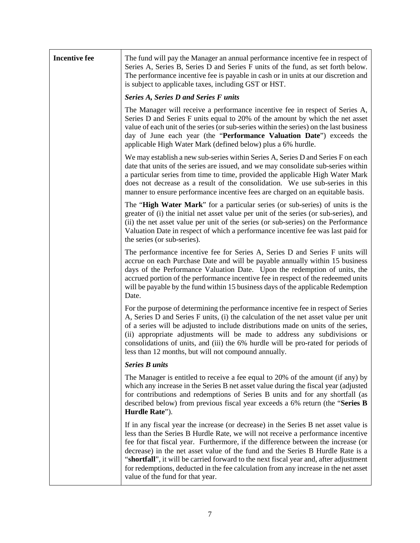| <b>Incentive fee</b> | The fund will pay the Manager an annual performance incentive fee in respect of<br>Series A, Series B, Series D and Series F units of the fund, as set forth below.<br>The performance incentive fee is payable in cash or in units at our discretion and<br>is subject to applicable taxes, including GST or HST.                                                                                                                                                                                                                                                |  |  |
|----------------------|-------------------------------------------------------------------------------------------------------------------------------------------------------------------------------------------------------------------------------------------------------------------------------------------------------------------------------------------------------------------------------------------------------------------------------------------------------------------------------------------------------------------------------------------------------------------|--|--|
|                      | <b>Series A, Series D and Series F units</b>                                                                                                                                                                                                                                                                                                                                                                                                                                                                                                                      |  |  |
|                      | The Manager will receive a performance incentive fee in respect of Series A,<br>Series D and Series F units equal to 20% of the amount by which the net asset<br>value of each unit of the series (or sub-series within the series) on the last business<br>day of June each year (the "Performance Valuation Date") exceeds the<br>applicable High Water Mark (defined below) plus a 6% hurdle.                                                                                                                                                                  |  |  |
|                      | We may establish a new sub-series within Series A, Series D and Series F on each<br>date that units of the series are issued, and we may consolidate sub-series within<br>a particular series from time to time, provided the applicable High Water Mark<br>does not decrease as a result of the consolidation. We use sub-series in this<br>manner to ensure performance incentive fees are charged on an equitable basis.                                                                                                                                       |  |  |
|                      | The "High Water Mark" for a particular series (or sub-series) of units is the<br>greater of (i) the initial net asset value per unit of the series (or sub-series), and<br>(ii) the net asset value per unit of the series (or sub-series) on the Performance<br>Valuation Date in respect of which a performance incentive fee was last paid for<br>the series (or sub-series).                                                                                                                                                                                  |  |  |
|                      | The performance incentive fee for Series A, Series D and Series F units will<br>accrue on each Purchase Date and will be payable annually within 15 business<br>days of the Performance Valuation Date. Upon the redemption of units, the<br>accrued portion of the performance incentive fee in respect of the redeemed units<br>will be payable by the fund within 15 business days of the applicable Redemption<br>Date.                                                                                                                                       |  |  |
|                      | For the purpose of determining the performance incentive fee in respect of Series<br>A, Series D and Series F units, (i) the calculation of the net asset value per unit<br>of a series will be adjusted to include distributions made on units of the series,<br>(ii) appropriate adjustments will be made to address any subdivisions or<br>consolidations of units, and (iii) the 6% hurdle will be pro-rated for periods of<br>less than 12 months, but will not compound annually.                                                                           |  |  |
|                      | <b>Series B units</b>                                                                                                                                                                                                                                                                                                                                                                                                                                                                                                                                             |  |  |
|                      | The Manager is entitled to receive a fee equal to 20% of the amount (if any) by<br>which any increase in the Series B net asset value during the fiscal year (adjusted<br>for contributions and redemptions of Series B units and for any shortfall (as<br>described below) from previous fiscal year exceeds a 6% return (the "Series B<br>Hurdle Rate").                                                                                                                                                                                                        |  |  |
|                      | If in any fiscal year the increase (or decrease) in the Series B net asset value is<br>less than the Series B Hurdle Rate, we will not receive a performance incentive<br>fee for that fiscal year. Furthermore, if the difference between the increase (or<br>decrease) in the net asset value of the fund and the Series B Hurdle Rate is a<br>"shortfall", it will be carried forward to the next fiscal year and, after adjustment<br>for redemptions, deducted in the fee calculation from any increase in the net asset<br>value of the fund for that year. |  |  |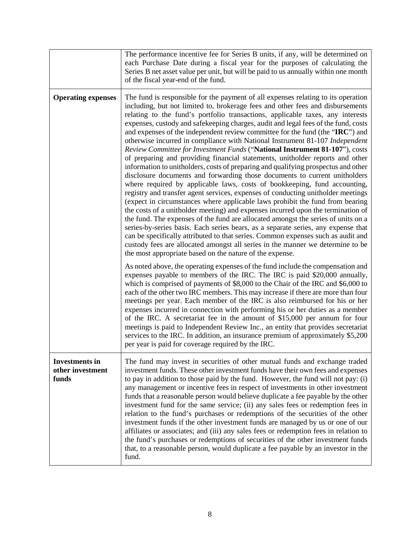|                                                    | The performance incentive fee for Series B units, if any, will be determined on<br>each Purchase Date during a fiscal year for the purposes of calculating the<br>Series B net asset value per unit, but will be paid to us annually within one month<br>of the fiscal year-end of the fund.                                                                                                                                                                                                                                                                                                                                                                                                                                                                                                                                                                                                                                                                                                                                                                                                                                                                                                                                                                                                                                                                                                                                                                                                                                                                                                       |
|----------------------------------------------------|----------------------------------------------------------------------------------------------------------------------------------------------------------------------------------------------------------------------------------------------------------------------------------------------------------------------------------------------------------------------------------------------------------------------------------------------------------------------------------------------------------------------------------------------------------------------------------------------------------------------------------------------------------------------------------------------------------------------------------------------------------------------------------------------------------------------------------------------------------------------------------------------------------------------------------------------------------------------------------------------------------------------------------------------------------------------------------------------------------------------------------------------------------------------------------------------------------------------------------------------------------------------------------------------------------------------------------------------------------------------------------------------------------------------------------------------------------------------------------------------------------------------------------------------------------------------------------------------------|
| <b>Operating expenses</b>                          | The fund is responsible for the payment of all expenses relating to its operation<br>including, but not limited to, brokerage fees and other fees and disbursements<br>relating to the fund's portfolio transactions, applicable taxes, any interests<br>expenses, custody and safekeeping charges, audit and legal fees of the fund, costs<br>and expenses of the independent review committee for the fund (the "IRC") and<br>otherwise incurred in compliance with National Instrument 81-107 Independent<br>Review Committee for Investment Funds ("National Instrument 81-107"), costs<br>of preparing and providing financial statements, unitholder reports and other<br>information to unitholders, costs of preparing and qualifying prospectus and other<br>disclosure documents and forwarding those documents to current unitholders<br>where required by applicable laws, costs of bookkeeping, fund accounting,<br>registry and transfer agent services, expenses of conducting unitholder meetings<br>(expect in circumstances where applicable laws prohibit the fund from bearing<br>the costs of a unitholder meeting) and expenses incurred upon the termination of<br>the fund. The expenses of the fund are allocated amongst the series of units on a<br>series-by-series basis. Each series bears, as a separate series, any expense that<br>can be specifically attributed to that series. Common expenses such as audit and<br>custody fees are allocated amongst all series in the manner we determine to be<br>the most appropriate based on the nature of the expense. |
|                                                    | As noted above, the operating expenses of the fund include the compensation and<br>expenses payable to members of the IRC. The IRC is paid \$20,000 annually,<br>which is comprised of payments of \$8,000 to the Chair of the IRC and \$6,000 to<br>each of the other two IRC members. This may increase if there are more than four<br>meetings per year. Each member of the IRC is also reimbursed for his or her<br>expenses incurred in connection with performing his or her duties as a member<br>of the IRC. A secretariat fee in the amount of \$15,000 per annum for four<br>meetings is paid to Independent Review Inc., an entity that provides secretariat<br>services to the IRC. In addition, an insurance premium of approximately \$5,200<br>per year is paid for coverage required by the IRC.                                                                                                                                                                                                                                                                                                                                                                                                                                                                                                                                                                                                                                                                                                                                                                                   |
| <b>Investments in</b><br>other investment<br>funds | The fund may invest in securities of other mutual funds and exchange traded<br>investment funds. These other investment funds have their own fees and expenses<br>to pay in addition to those paid by the fund. However, the fund will not pay: (i)<br>any management or incentive fees in respect of investments in other investment<br>funds that a reasonable person would believe duplicate a fee payable by the other<br>investment fund for the same service; (ii) any sales fees or redemption fees in<br>relation to the fund's purchases or redemptions of the securities of the other<br>investment funds if the other investment funds are managed by us or one of our<br>affiliates or associates; and (iii) any sales fees or redemption fees in relation to<br>the fund's purchases or redemptions of securities of the other investment funds<br>that, to a reasonable person, would duplicate a fee payable by an investor in the<br>fund.                                                                                                                                                                                                                                                                                                                                                                                                                                                                                                                                                                                                                                         |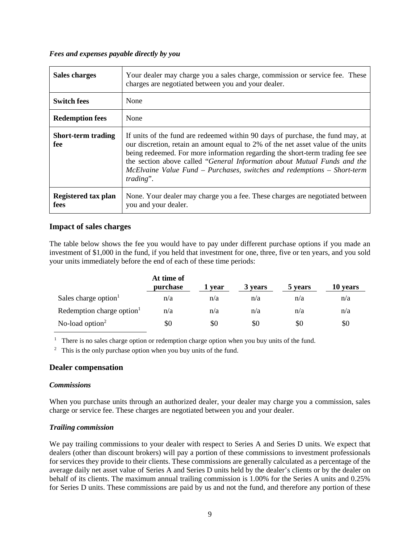#### <span id="page-10-0"></span>*Fees and expenses payable directly by you*

| Sales charges                    | Your dealer may charge you a sales charge, commission or service fee. These<br>charges are negotiated between you and your dealer.                                                                                                                                                                                                                                                                                      |
|----------------------------------|-------------------------------------------------------------------------------------------------------------------------------------------------------------------------------------------------------------------------------------------------------------------------------------------------------------------------------------------------------------------------------------------------------------------------|
| <b>Switch fees</b>               | None                                                                                                                                                                                                                                                                                                                                                                                                                    |
| <b>Redemption fees</b>           | None                                                                                                                                                                                                                                                                                                                                                                                                                    |
| <b>Short-term trading</b><br>fee | If units of the fund are redeemed within 90 days of purchase, the fund may, at<br>our discretion, retain an amount equal to 2% of the net asset value of the units<br>being redeemed. For more information regarding the short-term trading fee see<br>the section above called "General Information about Mutual Funds and the<br>McElvaine Value Fund – Purchases, switches and redemptions – Short-term<br>trading". |
| Registered tax plan<br>fees      | None. Your dealer may charge you a fee. These charges are negotiated between<br>you and your dealer.                                                                                                                                                                                                                                                                                                                    |

# <span id="page-10-1"></span>**Impact of sales charges**

The table below shows the fee you would have to pay under different purchase options if you made an investment of \$1,000 in the fund, if you held that investment for one, three, five or ten years, and you sold your units immediately before the end of each of these time periods:

|                                       | At time of<br>purchase | 1 vear | 3 years | 5 years | 10 years |
|---------------------------------------|------------------------|--------|---------|---------|----------|
| Sales charge option <sup>1</sup>      | n/a                    | n/a    | n/a     | n/a     | n/a      |
| Redemption charge option <sup>1</sup> | n/a                    | n/a    | n/a     | n/a     | n/a      |
| No-load option $2$                    | \$0                    | \$0    | \$0     | \$0     | \$0      |

<sup>1</sup> There is no sales charge option or redemption charge option when you buy units of the fund.

 $2$  This is the only purchase option when you buy units of the fund.

# <span id="page-10-2"></span>**Dealer compensation**

#### <span id="page-10-3"></span>*Commissions*

When you purchase units through an authorized dealer, your dealer may charge you a commission, sales charge or service fee. These charges are negotiated between you and your dealer.

#### <span id="page-10-4"></span>*Trailing commission*

We pay trailing commissions to your dealer with respect to Series A and Series D units. We expect that dealers (other than discount brokers) will pay a portion of these commissions to investment professionals for services they provide to their clients. These commissions are generally calculated as a percentage of the average daily net asset value of Series A and Series D units held by the dealer's clients or by the dealer on behalf of its clients. The maximum annual trailing commission is 1.00% for the Series A units and 0.25% for Series D units. These commissions are paid by us and not the fund, and therefore any portion of these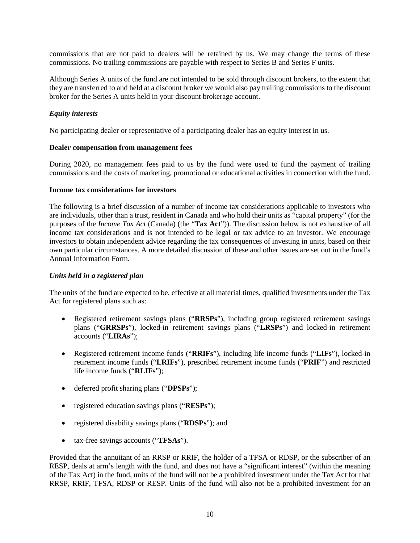commissions that are not paid to dealers will be retained by us. We may change the terms of these commissions. No trailing commissions are payable with respect to Series B and Series F units.

Although Series A units of the fund are not intended to be sold through discount brokers, to the extent that they are transferred to and held at a discount broker we would also pay trailing commissions to the discount broker for the Series A units held in your discount brokerage account.

# <span id="page-11-0"></span>*Equity interests*

No participating dealer or representative of a participating dealer has an equity interest in us.

#### <span id="page-11-1"></span>**Dealer compensation from management fees**

During 2020, no management fees paid to us by the fund were used to fund the payment of trailing commissions and the costs of marketing, promotional or educational activities in connection with the fund.

#### <span id="page-11-2"></span>**Income tax considerations for investors**

The following is a brief discussion of a number of income tax considerations applicable to investors who are individuals, other than a trust, resident in Canada and who hold their units as "capital property" (for the purposes of the *Income Tax Act* (Canada) (the "**Tax Act**")). The discussion below is not exhaustive of all income tax considerations and is not intended to be legal or tax advice to an investor. We encourage investors to obtain independent advice regarding the tax consequences of investing in units, based on their own particular circumstances. A more detailed discussion of these and other issues are set out in the fund's Annual Information Form.

#### <span id="page-11-3"></span>*Units held in a registered plan*

The units of the fund are expected to be, effective at all material times, qualified investments under the Tax Act for registered plans such as:

- Registered retirement savings plans ("**RRSPs**"), including group registered retirement savings plans ("**GRRSPs**"), locked-in retirement savings plans ("**LRSPs**") and locked-in retirement accounts ("**LIRAs**");
- Registered retirement income funds ("**RRIFs**"), including life income funds ("**LIFs**"), locked-in retirement income funds ("**LRIFs**"), prescribed retirement income funds ("**PRIF**") and restricted life income funds ("**RLIFs**");
- deferred profit sharing plans ("**DPSPs**");
- registered education savings plans ("**RESPs**");
- registered disability savings plans ("**RDSPs**"); and
- tax-free savings accounts ("**TFSAs**").

Provided that the annuitant of an RRSP or RRIF, the holder of a TFSA or RDSP, or the subscriber of an RESP, deals at arm's length with the fund, and does not have a "significant interest" (within the meaning of the Tax Act) in the fund, units of the fund will not be a prohibited investment under the Tax Act for that RRSP, RRIF, TFSA, RDSP or RESP. Units of the fund will also not be a prohibited investment for an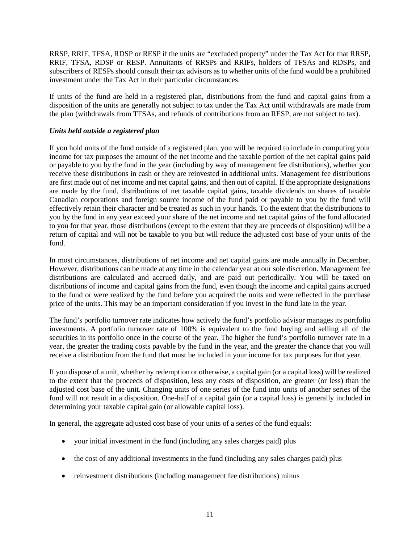RRSP, RRIF, TFSA, RDSP or RESP if the units are "excluded property" under the Tax Act for that RRSP, RRIF, TFSA, RDSP or RESP. Annuitants of RRSPs and RRIFs, holders of TFSAs and RDSPs, and subscribers of RESPs should consult their tax advisors as to whether units of the fund would be a prohibited investment under the Tax Act in their particular circumstances.

If units of the fund are held in a registered plan, distributions from the fund and capital gains from a disposition of the units are generally not subject to tax under the Tax Act until withdrawals are made from the plan (withdrawals from TFSAs, and refunds of contributions from an RESP, are not subject to tax).

# <span id="page-12-0"></span>*Units held outside a registered plan*

If you hold units of the fund outside of a registered plan, you will be required to include in computing your income for tax purposes the amount of the net income and the taxable portion of the net capital gains paid or payable to you by the fund in the year (including by way of management fee distributions), whether you receive these distributions in cash or they are reinvested in additional units. Management fee distributions are first made out of net income and net capital gains, and then out of capital. If the appropriate designations are made by the fund, distributions of net taxable capital gains, taxable dividends on shares of taxable Canadian corporations and foreign source income of the fund paid or payable to you by the fund will effectively retain their character and be treated as such in your hands. To the extent that the distributions to you by the fund in any year exceed your share of the net income and net capital gains of the fund allocated to you for that year, those distributions (except to the extent that they are proceeds of disposition) will be a return of capital and will not be taxable to you but will reduce the adjusted cost base of your units of the fund.

In most circumstances, distributions of net income and net capital gains are made annually in December. However, distributions can be made at any time in the calendar year at our sole discretion. Management fee distributions are calculated and accrued daily, and are paid out periodically. You will be taxed on distributions of income and capital gains from the fund, even though the income and capital gains accrued to the fund or were realized by the fund before you acquired the units and were reflected in the purchase price of the units. This may be an important consideration if you invest in the fund late in the year.

The fund's portfolio turnover rate indicates how actively the fund's portfolio advisor manages its portfolio investments. A portfolio turnover rate of 100% is equivalent to the fund buying and selling all of the securities in its portfolio once in the course of the year. The higher the fund's portfolio turnover rate in a year, the greater the trading costs payable by the fund in the year, and the greater the chance that you will receive a distribution from the fund that must be included in your income for tax purposes for that year.

If you dispose of a unit, whether by redemption or otherwise, a capital gain (or a capital loss) will be realized to the extent that the proceeds of disposition, less any costs of disposition, are greater (or less) than the adjusted cost base of the unit. Changing units of one series of the fund into units of another series of the fund will not result in a disposition. One-half of a capital gain (or a capital loss) is generally included in determining your taxable capital gain (or allowable capital loss).

In general, the aggregate adjusted cost base of your units of a series of the fund equals:

- your initial investment in the fund (including any sales charges paid) plus
- the cost of any additional investments in the fund (including any sales charges paid) plus
- reinvestment distributions (including management fee distributions) minus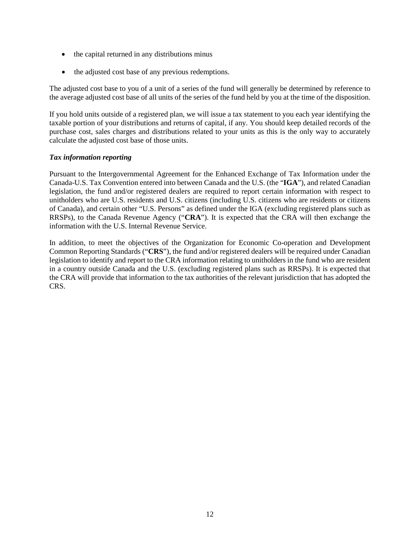- the capital returned in any distributions minus
- the adjusted cost base of any previous redemptions.

The adjusted cost base to you of a unit of a series of the fund will generally be determined by reference to the average adjusted cost base of all units of the series of the fund held by you at the time of the disposition.

If you hold units outside of a registered plan, we will issue a tax statement to you each year identifying the taxable portion of your distributions and returns of capital, if any. You should keep detailed records of the purchase cost, sales charges and distributions related to your units as this is the only way to accurately calculate the adjusted cost base of those units.

#### <span id="page-13-0"></span>*Tax information reporting*

Pursuant to the Intergovernmental Agreement for the Enhanced Exchange of Tax Information under the Canada-U.S. Tax Convention entered into between Canada and the U.S. (the "**IGA**"), and related Canadian legislation, the fund and/or registered dealers are required to report certain information with respect to unitholders who are U.S. residents and U.S. citizens (including U.S. citizens who are residents or citizens of Canada), and certain other "U.S. Persons" as defined under the IGA (excluding registered plans such as RRSPs), to the Canada Revenue Agency ("**CRA**"). It is expected that the CRA will then exchange the information with the U.S. Internal Revenue Service.

In addition, to meet the objectives of the Organization for Economic Co-operation and Development Common Reporting Standards ("**CRS**"), the fund and/or registered dealers will be required under Canadian legislation to identify and report to the CRA information relating to unitholders in the fund who are resident in a country outside Canada and the U.S. (excluding registered plans such as RRSPs). It is expected that the CRA will provide that information to the tax authorities of the relevant jurisdiction that has adopted the CRS.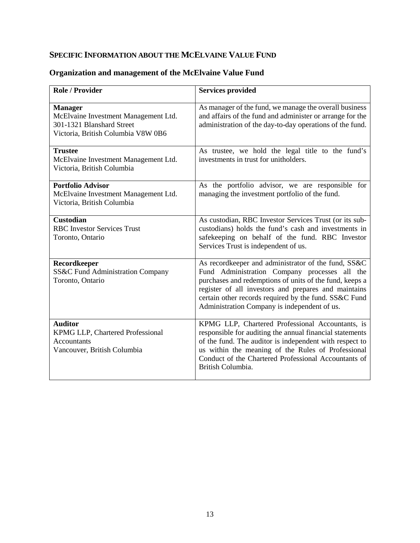# <span id="page-14-0"></span>**SPECIFIC INFORMATION ABOUT THE MCELVAINE VALUE FUND**

| <b>Role / Provider</b>                                                                                                    | <b>Services provided</b>                                                                                                                                                                                                                                                                                                         |
|---------------------------------------------------------------------------------------------------------------------------|----------------------------------------------------------------------------------------------------------------------------------------------------------------------------------------------------------------------------------------------------------------------------------------------------------------------------------|
| <b>Manager</b><br>McElvaine Investment Management Ltd.<br>301-1321 Blanshard Street<br>Victoria, British Columbia V8W 0B6 | As manager of the fund, we manage the overall business<br>and affairs of the fund and administer or arrange for the<br>administration of the day-to-day operations of the fund.                                                                                                                                                  |
| <b>Trustee</b><br>McElvaine Investment Management Ltd.<br>Victoria, British Columbia                                      | As trustee, we hold the legal title to the fund's<br>investments in trust for unitholders.                                                                                                                                                                                                                                       |
| <b>Portfolio Advisor</b><br>McElvaine Investment Management Ltd.<br>Victoria, British Columbia                            | As the portfolio advisor, we are responsible for<br>managing the investment portfolio of the fund.                                                                                                                                                                                                                               |
| <b>Custodian</b><br><b>RBC</b> Investor Services Trust<br>Toronto, Ontario                                                | As custodian, RBC Investor Services Trust (or its sub-<br>custodians) holds the fund's cash and investments in<br>safekeeping on behalf of the fund. RBC Investor<br>Services Trust is independent of us.                                                                                                                        |
| Recordkeeper<br>SS&C Fund Administration Company<br>Toronto, Ontario                                                      | As recordkeeper and administrator of the fund, SS&C<br>Fund Administration Company processes all the<br>purchases and redemptions of units of the fund, keeps a<br>register of all investors and prepares and maintains<br>certain other records required by the fund. SS&C Fund<br>Administration Company is independent of us. |
| <b>Auditor</b><br>KPMG LLP, Chartered Professional<br><b>Accountants</b><br>Vancouver, British Columbia                   | KPMG LLP, Chartered Professional Accountants, is<br>responsible for auditing the annual financial statements<br>of the fund. The auditor is independent with respect to<br>us within the meaning of the Rules of Professional<br>Conduct of the Chartered Professional Accountants of<br>British Columbia.                       |

# <span id="page-14-1"></span>**Organization and management of the McElvaine Value Fund**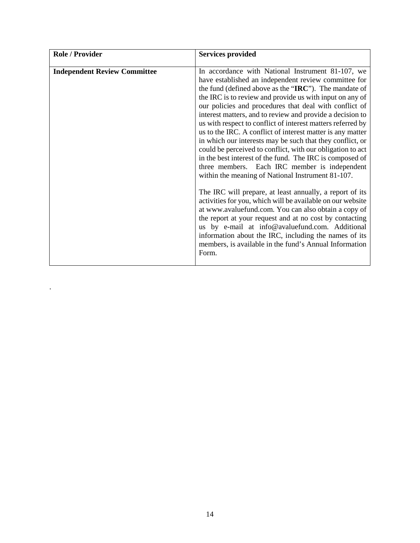| <b>Role / Provider</b>              | <b>Services provided</b>                                                                                                                                                                                                                                                                                                                                                                                                                                                                                                                                                                                                                                                                                                                                                                                                                                                                                                                                                                                                                                                                                                                                                                                    |
|-------------------------------------|-------------------------------------------------------------------------------------------------------------------------------------------------------------------------------------------------------------------------------------------------------------------------------------------------------------------------------------------------------------------------------------------------------------------------------------------------------------------------------------------------------------------------------------------------------------------------------------------------------------------------------------------------------------------------------------------------------------------------------------------------------------------------------------------------------------------------------------------------------------------------------------------------------------------------------------------------------------------------------------------------------------------------------------------------------------------------------------------------------------------------------------------------------------------------------------------------------------|
| <b>Independent Review Committee</b> | In accordance with National Instrument 81-107, we<br>have established an independent review committee for<br>the fund (defined above as the "IRC"). The mandate of<br>the IRC is to review and provide us with input on any of<br>our policies and procedures that deal with conflict of<br>interest matters, and to review and provide a decision to<br>us with respect to conflict of interest matters referred by<br>us to the IRC. A conflict of interest matter is any matter<br>in which our interests may be such that they conflict, or<br>could be perceived to conflict, with our obligation to act<br>in the best interest of the fund. The IRC is composed of<br>three members. Each IRC member is independent<br>within the meaning of National Instrument 81-107.<br>The IRC will prepare, at least annually, a report of its<br>activities for you, which will be available on our website<br>at www.avaluefund.com. You can also obtain a copy of<br>the report at your request and at no cost by contacting<br>us by e-mail at info@avaluefund.com. Additional<br>information about the IRC, including the names of its<br>members, is available in the fund's Annual Information<br>Form. |

.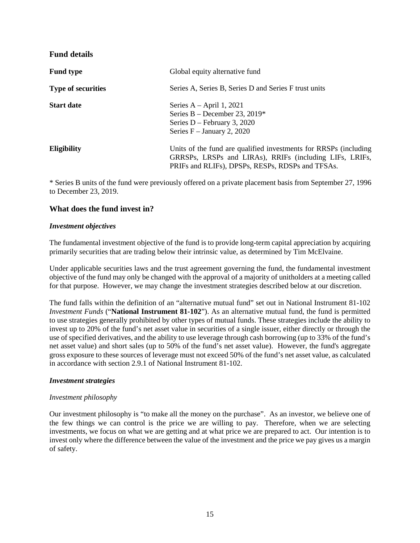# <span id="page-16-0"></span>**Fund details**

| <b>Fund type</b>          | Global equity alternative fund                                                                                                                                                  |
|---------------------------|---------------------------------------------------------------------------------------------------------------------------------------------------------------------------------|
| <b>Type of securities</b> | Series A, Series B, Series D and Series F trust units                                                                                                                           |
| <b>Start date</b>         | Series $A - April 1, 2021$<br>Series B – December 23, 2019*<br>Series $D$ – February 3, 2020<br>Series $F - January 2, 2020$                                                    |
| <b>Eligibility</b>        | Units of the fund are qualified investments for RRSPs (including<br>GRRSPs, LRSPs and LIRAs), RRIFs (including LIFs, LRIFs,<br>PRIFs and RLIFs), DPSPs, RESPs, RDSPs and TFSAs. |

\* Series B units of the fund were previously offered on a private placement basis from September 27, 1996 to December 23, 2019.

# <span id="page-16-1"></span>**What does the fund invest in?**

#### <span id="page-16-2"></span>*Investment objectives*

The fundamental investment objective of the fund is to provide long-term capital appreciation by acquiring primarily securities that are trading below their intrinsic value, as determined by Tim McElvaine.

Under applicable securities laws and the trust agreement governing the fund, the fundamental investment objective of the fund may only be changed with the approval of a majority of unitholders at a meeting called for that purpose. However, we may change the investment strategies described below at our discretion.

The fund falls within the definition of an "alternative mutual fund" set out in National Instrument 81-102 *Investment Funds* ("**National Instrument 81-102**"). As an alternative mutual fund, the fund is permitted to use strategies generally prohibited by other types of mutual funds. These strategies include the ability to invest up to 20% of the fund's net asset value in securities of a single issuer, either directly or through the use of specified derivatives, and the ability to use leverage through cash borrowing (up to 33% of the fund's net asset value) and short sales (up to 50% of the fund's net asset value). However, the fund's aggregate gross exposure to these sources of leverage must not exceed 50% of the fund's net asset value, as calculated in accordance with section 2.9.1 of National Instrument 81-102.

#### <span id="page-16-3"></span>*Investment strategies*

#### *Investment philosophy*

Our investment philosophy is "to make all the money on the purchase". As an investor, we believe one of the few things we can control is the price we are willing to pay. Therefore, when we are selecting investments, we focus on what we are getting and at what price we are prepared to act. Our intention is to invest only where the difference between the value of the investment and the price we pay gives us a margin of safety.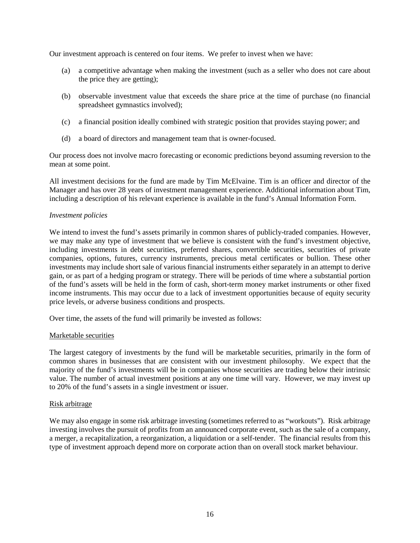Our investment approach is centered on four items. We prefer to invest when we have:

- (a) a competitive advantage when making the investment (such as a seller who does not care about the price they are getting);
- (b) observable investment value that exceeds the share price at the time of purchase (no financial spreadsheet gymnastics involved);
- (c) a financial position ideally combined with strategic position that provides staying power; and
- (d) a board of directors and management team that is owner-focused.

Our process does not involve macro forecasting or economic predictions beyond assuming reversion to the mean at some point.

All investment decisions for the fund are made by Tim McElvaine. Tim is an officer and director of the Manager and has over 28 years of investment management experience. Additional information about Tim, including a description of his relevant experience is available in the fund's Annual Information Form.

#### *Investment policies*

We intend to invest the fund's assets primarily in common shares of publicly-traded companies. However, we may make any type of investment that we believe is consistent with the fund's investment objective, including investments in debt securities, preferred shares, convertible securities, securities of private companies, options, futures, currency instruments, precious metal certificates or bullion. These other investments may include short sale of various financial instruments either separately in an attempt to derive gain, or as part of a hedging program or strategy. There will be periods of time where a substantial portion of the fund's assets will be held in the form of cash, short-term money market instruments or other fixed income instruments. This may occur due to a lack of investment opportunities because of equity security price levels, or adverse business conditions and prospects.

Over time, the assets of the fund will primarily be invested as follows:

#### Marketable securities

The largest category of investments by the fund will be marketable securities, primarily in the form of common shares in businesses that are consistent with our investment philosophy. We expect that the majority of the fund's investments will be in companies whose securities are trading below their intrinsic value. The number of actual investment positions at any one time will vary. However, we may invest up to 20% of the fund's assets in a single investment or issuer.

#### Risk arbitrage

We may also engage in some risk arbitrage investing (sometimes referred to as "workouts"). Risk arbitrage investing involves the pursuit of profits from an announced corporate event, such as the sale of a company, a merger, a recapitalization, a reorganization, a liquidation or a self-tender. The financial results from this type of investment approach depend more on corporate action than on overall stock market behaviour.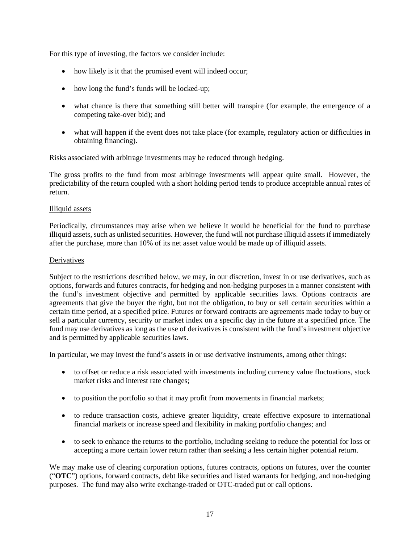For this type of investing, the factors we consider include:

- how likely is it that the promised event will indeed occur;
- how long the fund's funds will be locked-up;
- what chance is there that something still better will transpire (for example, the emergence of a competing take-over bid); and
- what will happen if the event does not take place (for example, regulatory action or difficulties in obtaining financing).

Risks associated with arbitrage investments may be reduced through hedging.

The gross profits to the fund from most arbitrage investments will appear quite small. However, the predictability of the return coupled with a short holding period tends to produce acceptable annual rates of return.

#### Illiquid assets

Periodically, circumstances may arise when we believe it would be beneficial for the fund to purchase illiquid assets, such as unlisted securities. However, the fund will not purchase illiquid assets if immediately after the purchase, more than 10% of its net asset value would be made up of illiquid assets.

#### **Derivatives**

Subject to the restrictions described below, we may, in our discretion, invest in or use derivatives, such as options, forwards and futures contracts, for hedging and non-hedging purposes in a manner consistent with the fund's investment objective and permitted by applicable securities laws. Options contracts are agreements that give the buyer the right, but not the obligation, to buy or sell certain securities within a certain time period, at a specified price. Futures or forward contracts are agreements made today to buy or sell a particular currency, security or market index on a specific day in the future at a specified price. The fund may use derivatives as long as the use of derivatives is consistent with the fund's investment objective and is permitted by applicable securities laws.

In particular, we may invest the fund's assets in or use derivative instruments, among other things:

- to offset or reduce a risk associated with investments including currency value fluctuations, stock market risks and interest rate changes;
- to position the portfolio so that it may profit from movements in financial markets;
- to reduce transaction costs, achieve greater liquidity, create effective exposure to international financial markets or increase speed and flexibility in making portfolio changes; and
- to seek to enhance the returns to the portfolio, including seeking to reduce the potential for loss or accepting a more certain lower return rather than seeking a less certain higher potential return.

We may make use of clearing corporation options, futures contracts, options on futures, over the counter ("**OTC**") options, forward contracts, debt like securities and listed warrants for hedging, and non-hedging purposes. The fund may also write exchange-traded or OTC-traded put or call options.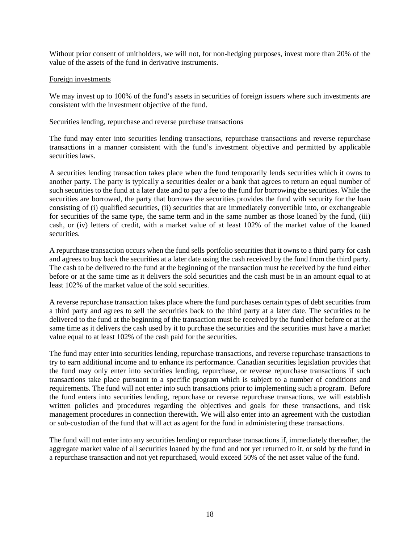Without prior consent of unitholders, we will not, for non-hedging purposes, invest more than 20% of the value of the assets of the fund in derivative instruments.

#### Foreign investments

We may invest up to 100% of the fund's assets in securities of foreign issuers where such investments are consistent with the investment objective of the fund.

#### Securities lending, repurchase and reverse purchase transactions

The fund may enter into securities lending transactions, repurchase transactions and reverse repurchase transactions in a manner consistent with the fund's investment objective and permitted by applicable securities laws.

A securities lending transaction takes place when the fund temporarily lends securities which it owns to another party. The party is typically a securities dealer or a bank that agrees to return an equal number of such securities to the fund at a later date and to pay a fee to the fund for borrowing the securities. While the securities are borrowed, the party that borrows the securities provides the fund with security for the loan consisting of (i) qualified securities, (ii) securities that are immediately convertible into, or exchangeable for securities of the same type, the same term and in the same number as those loaned by the fund, (iii) cash, or (iv) letters of credit, with a market value of at least 102% of the market value of the loaned securities.

A repurchase transaction occurs when the fund sells portfolio securities that it owns to a third party for cash and agrees to buy back the securities at a later date using the cash received by the fund from the third party. The cash to be delivered to the fund at the beginning of the transaction must be received by the fund either before or at the same time as it delivers the sold securities and the cash must be in an amount equal to at least 102% of the market value of the sold securities.

A reverse repurchase transaction takes place where the fund purchases certain types of debt securities from a third party and agrees to sell the securities back to the third party at a later date. The securities to be delivered to the fund at the beginning of the transaction must be received by the fund either before or at the same time as it delivers the cash used by it to purchase the securities and the securities must have a market value equal to at least 102% of the cash paid for the securities.

The fund may enter into securities lending, repurchase transactions, and reverse repurchase transactions to try to earn additional income and to enhance its performance. Canadian securities legislation provides that the fund may only enter into securities lending, repurchase, or reverse repurchase transactions if such transactions take place pursuant to a specific program which is subject to a number of conditions and requirements. The fund will not enter into such transactions prior to implementing such a program. Before the fund enters into securities lending, repurchase or reverse repurchase transactions, we will establish written policies and procedures regarding the objectives and goals for these transactions, and risk management procedures in connection therewith. We will also enter into an agreement with the custodian or sub-custodian of the fund that will act as agent for the fund in administering these transactions.

The fund will not enter into any securities lending or repurchase transactions if, immediately thereafter, the aggregate market value of all securities loaned by the fund and not yet returned to it, or sold by the fund in a repurchase transaction and not yet repurchased, would exceed 50% of the net asset value of the fund.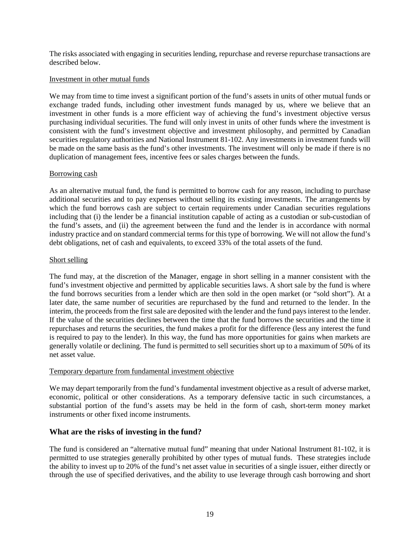The risks associated with engaging in securities lending, repurchase and reverse repurchase transactions are described below.

#### Investment in other mutual funds

We may from time to time invest a significant portion of the fund's assets in units of other mutual funds or exchange traded funds, including other investment funds managed by us, where we believe that an investment in other funds is a more efficient way of achieving the fund's investment objective versus purchasing individual securities. The fund will only invest in units of other funds where the investment is consistent with the fund's investment objective and investment philosophy, and permitted by Canadian securities regulatory authorities and National Instrument 81-102. Any investments in investment funds will be made on the same basis as the fund's other investments. The investment will only be made if there is no duplication of management fees, incentive fees or sales charges between the funds.

#### Borrowing cash

As an alternative mutual fund, the fund is permitted to borrow cash for any reason, including to purchase additional securities and to pay expenses without selling its existing investments. The arrangements by which the fund borrows cash are subject to certain requirements under Canadian securities regulations including that (i) the lender be a financial institution capable of acting as a custodian or sub-custodian of the fund's assets, and (ii) the agreement between the fund and the lender is in accordance with normal industry practice and on standard commercial terms for this type of borrowing. We will not allow the fund's debt obligations, net of cash and equivalents, to exceed 33% of the total assets of the fund.

#### Short selling

The fund may, at the discretion of the Manager, engage in short selling in a manner consistent with the fund's investment objective and permitted by applicable securities laws. A short sale by the fund is where the fund borrows securities from a lender which are then sold in the open market (or "sold short"). At a later date, the same number of securities are repurchased by the fund and returned to the lender. In the interim, the proceeds from the first sale are deposited with the lender and the fund pays interest to the lender. If the value of the securities declines between the time that the fund borrows the securities and the time it repurchases and returns the securities, the fund makes a profit for the difference (less any interest the fund is required to pay to the lender). In this way, the fund has more opportunities for gains when markets are generally volatile or declining. The fund is permitted to sell securities short up to a maximum of 50% of its net asset value.

#### Temporary departure from fundamental investment objective

We may depart temporarily from the fund's fundamental investment objective as a result of adverse market, economic, political or other considerations. As a temporary defensive tactic in such circumstances, a substantial portion of the fund's assets may be held in the form of cash, short-term money market instruments or other fixed income instruments.

#### <span id="page-20-0"></span>**What are the risks of investing in the fund?**

The fund is considered an "alternative mutual fund" meaning that under National Instrument 81-102, it is permitted to use strategies generally prohibited by other types of mutual funds. These strategies include the ability to invest up to 20% of the fund's net asset value in securities of a single issuer, either directly or through the use of specified derivatives, and the ability to use leverage through cash borrowing and short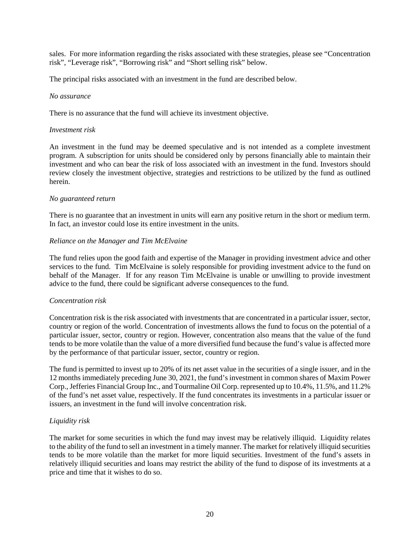sales. For more information regarding the risks associated with these strategies, please see "Concentration risk", "Leverage risk", "Borrowing risk" and "Short selling risk" below.

The principal risks associated with an investment in the fund are described below.

#### *No assurance*

There is no assurance that the fund will achieve its investment objective.

### *Investment risk*

An investment in the fund may be deemed speculative and is not intended as a complete investment program. A subscription for units should be considered only by persons financially able to maintain their investment and who can bear the risk of loss associated with an investment in the fund. Investors should review closely the investment objective, strategies and restrictions to be utilized by the fund as outlined herein.

# *No guaranteed return*

There is no guarantee that an investment in units will earn any positive return in the short or medium term. In fact, an investor could lose its entire investment in the units.

# *Reliance on the Manager and Tim McElvaine*

The fund relies upon the good faith and expertise of the Manager in providing investment advice and other services to the fund. Tim McElvaine is solely responsible for providing investment advice to the fund on behalf of the Manager. If for any reason Tim McElvaine is unable or unwilling to provide investment advice to the fund, there could be significant adverse consequences to the fund.

#### *Concentration risk*

Concentration risk is the risk associated with investments that are concentrated in a particular issuer, sector, country or region of the world. Concentration of investments allows the fund to focus on the potential of a particular issuer, sector, country or region. However, concentration also means that the value of the fund tends to be more volatile than the value of a more diversified fund because the fund's value is affected more by the performance of that particular issuer, sector, country or region.

The fund is permitted to invest up to 20% of its net asset value in the securities of a single issuer, and in the 12 months immediately preceding June 30, 2021, the fund's investment in common shares of Maxim Power Corp., Jefferies Financial Group Inc., and Tourmaline Oil Corp. represented up to 10.4%, 11.5%, and 11.2% of the fund's net asset value, respectively. If the fund concentrates its investments in a particular issuer or issuers, an investment in the fund will involve concentration risk.

# *Liquidity risk*

The market for some securities in which the fund may invest may be relatively illiquid. Liquidity relates to the ability of the fund to sell an investment in a timely manner. The market for relatively illiquid securities tends to be more volatile than the market for more liquid securities. Investment of the fund's assets in relatively illiquid securities and loans may restrict the ability of the fund to dispose of its investments at a price and time that it wishes to do so.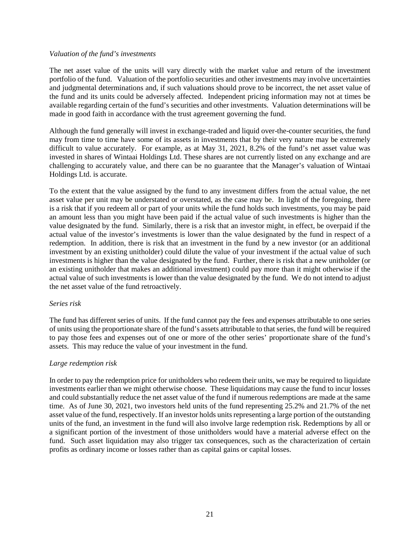#### *Valuation of the fund's investments*

The net asset value of the units will vary directly with the market value and return of the investment portfolio of the fund. Valuation of the portfolio securities and other investments may involve uncertainties and judgmental determinations and, if such valuations should prove to be incorrect, the net asset value of the fund and its units could be adversely affected. Independent pricing information may not at times be available regarding certain of the fund's securities and other investments. Valuation determinations will be made in good faith in accordance with the trust agreement governing the fund.

Although the fund generally will invest in exchange-traded and liquid over-the-counter securities, the fund may from time to time have some of its assets in investments that by their very nature may be extremely difficult to value accurately. For example, as at May 31, 2021, 8.2% of the fund's net asset value was invested in shares of Wintaai Holdings Ltd. These shares are not currently listed on any exchange and are challenging to accurately value, and there can be no guarantee that the Manager's valuation of Wintaai Holdings Ltd. is accurate.

To the extent that the value assigned by the fund to any investment differs from the actual value, the net asset value per unit may be understated or overstated, as the case may be. In light of the foregoing, there is a risk that if you redeem all or part of your units while the fund holds such investments, you may be paid an amount less than you might have been paid if the actual value of such investments is higher than the value designated by the fund. Similarly, there is a risk that an investor might, in effect, be overpaid if the actual value of the investor's investments is lower than the value designated by the fund in respect of a redemption. In addition, there is risk that an investment in the fund by a new investor (or an additional investment by an existing unitholder) could dilute the value of your investment if the actual value of such investments is higher than the value designated by the fund. Further, there is risk that a new unitholder (or an existing unitholder that makes an additional investment) could pay more than it might otherwise if the actual value of such investments is lower than the value designated by the fund. We do not intend to adjust the net asset value of the fund retroactively.

#### *Series risk*

The fund has different series of units. If the fund cannot pay the fees and expenses attributable to one series of units using the proportionate share of the fund's assets attributable to that series, the fund will be required to pay those fees and expenses out of one or more of the other series' proportionate share of the fund's assets. This may reduce the value of your investment in the fund.

#### *Large redemption risk*

In order to pay the redemption price for unitholders who redeem their units, we may be required to liquidate investments earlier than we might otherwise choose. These liquidations may cause the fund to incur losses and could substantially reduce the net asset value of the fund if numerous redemptions are made at the same time. As of June 30, 2021, two investors held units of the fund representing 25.2% and 21.7% of the net asset value of the fund, respectively. If an investor holds units representing a large portion of the outstanding units of the fund, an investment in the fund will also involve large redemption risk. Redemptions by all or a significant portion of the investment of those unitholders would have a material adverse effect on the fund. Such asset liquidation may also trigger tax consequences, such as the characterization of certain profits as ordinary income or losses rather than as capital gains or capital losses.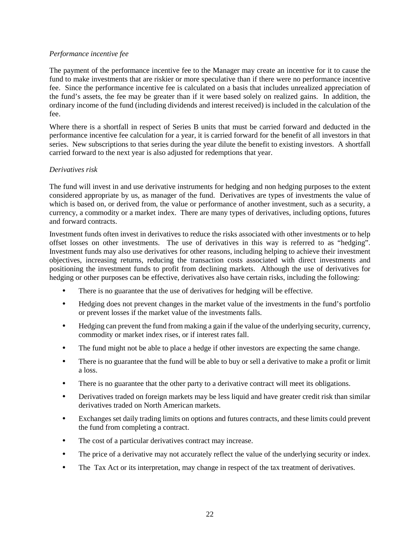#### *Performance incentive fee*

The payment of the performance incentive fee to the Manager may create an incentive for it to cause the fund to make investments that are riskier or more speculative than if there were no performance incentive fee. Since the performance incentive fee is calculated on a basis that includes unrealized appreciation of the fund's assets, the fee may be greater than if it were based solely on realized gains. In addition, the ordinary income of the fund (including dividends and interest received) is included in the calculation of the fee.

Where there is a shortfall in respect of Series B units that must be carried forward and deducted in the performance incentive fee calculation for a year, it is carried forward for the benefit of all investors in that series. New subscriptions to that series during the year dilute the benefit to existing investors. A shortfall carried forward to the next year is also adjusted for redemptions that year.

#### *Derivatives risk*

The fund will invest in and use derivative instruments for hedging and non hedging purposes to the extent considered appropriate by us, as manager of the fund. Derivatives are types of investments the value of which is based on, or derived from, the value or performance of another investment, such as a security, a currency, a commodity or a market index. There are many types of derivatives, including options, futures and forward contracts.

Investment funds often invest in derivatives to reduce the risks associated with other investments or to help offset losses on other investments. The use of derivatives in this way is referred to as "hedging". Investment funds may also use derivatives for other reasons, including helping to achieve their investment objectives, increasing returns, reducing the transaction costs associated with direct investments and positioning the investment funds to profit from declining markets. Although the use of derivatives for hedging or other purposes can be effective, derivatives also have certain risks, including the following:

- There is no guarantee that the use of derivatives for hedging will be effective.
- Hedging does not prevent changes in the market value of the investments in the fund's portfolio or prevent losses if the market value of the investments falls.
- Hedging can prevent the fund from making a gain if the value of the underlying security, currency, commodity or market index rises, or if interest rates fall.
- The fund might not be able to place a hedge if other investors are expecting the same change.
- There is no guarantee that the fund will be able to buy or sell a derivative to make a profit or limit a loss.
- There is no guarantee that the other party to a derivative contract will meet its obligations.
- Derivatives traded on foreign markets may be less liquid and have greater credit risk than similar derivatives traded on North American markets.
- Exchanges set daily trading limits on options and futures contracts, and these limits could prevent the fund from completing a contract.
- The cost of a particular derivatives contract may increase.
- The price of a derivative may not accurately reflect the value of the underlying security or index.
- The Tax Act or its interpretation, may change in respect of the tax treatment of derivatives.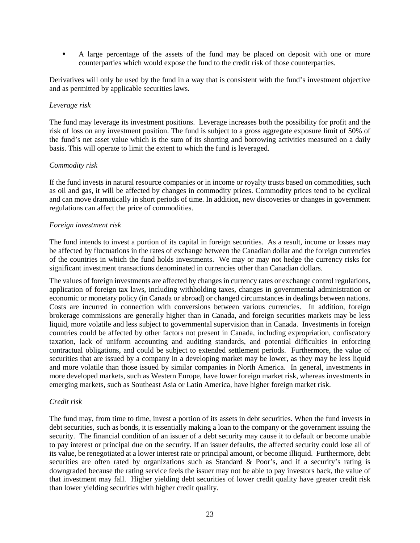• A large percentage of the assets of the fund may be placed on deposit with one or more counterparties which would expose the fund to the credit risk of those counterparties.

Derivatives will only be used by the fund in a way that is consistent with the fund's investment objective and as permitted by applicable securities laws.

#### *Leverage risk*

The fund may leverage its investment positions. Leverage increases both the possibility for profit and the risk of loss on any investment position. The fund is subject to a gross aggregate exposure limit of 50% of the fund's net asset value which is the sum of its shorting and borrowing activities measured on a daily basis. This will operate to limit the extent to which the fund is leveraged.

#### *Commodity risk*

If the fund invests in natural resource companies or in income or royalty trusts based on commodities, such as oil and gas, it will be affected by changes in commodity prices. Commodity prices tend to be cyclical and can move dramatically in short periods of time. In addition, new discoveries or changes in government regulations can affect the price of commodities.

#### *Foreign investment risk*

The fund intends to invest a portion of its capital in foreign securities. As a result, income or losses may be affected by fluctuations in the rates of exchange between the Canadian dollar and the foreign currencies of the countries in which the fund holds investments. We may or may not hedge the currency risks for significant investment transactions denominated in currencies other than Canadian dollars.

The values of foreign investments are affected by changes in currency rates or exchange control regulations, application of foreign tax laws, including withholding taxes, changes in governmental administration or economic or monetary policy (in Canada or abroad) or changed circumstances in dealings between nations. Costs are incurred in connection with conversions between various currencies. In addition, foreign brokerage commissions are generally higher than in Canada, and foreign securities markets may be less liquid, more volatile and less subject to governmental supervision than in Canada. Investments in foreign countries could be affected by other factors not present in Canada, including expropriation, confiscatory taxation, lack of uniform accounting and auditing standards, and potential difficulties in enforcing contractual obligations, and could be subject to extended settlement periods. Furthermore, the value of securities that are issued by a company in a developing market may be lower, as they may be less liquid and more volatile than those issued by similar companies in North America. In general, investments in more developed markets, such as Western Europe, have lower foreign market risk, whereas investments in emerging markets, such as Southeast Asia or Latin America, have higher foreign market risk.

#### *Credit risk*

The fund may, from time to time, invest a portion of its assets in debt securities. When the fund invests in debt securities, such as bonds, it is essentially making a loan to the company or the government issuing the security. The financial condition of an issuer of a debt security may cause it to default or become unable to pay interest or principal due on the security. If an issuer defaults, the affected security could lose all of its value, be renegotiated at a lower interest rate or principal amount, or become illiquid. Furthermore, debt securities are often rated by organizations such as Standard & Poor's, and if a security's rating is downgraded because the rating service feels the issuer may not be able to pay investors back, the value of that investment may fall. Higher yielding debt securities of lower credit quality have greater credit risk than lower yielding securities with higher credit quality.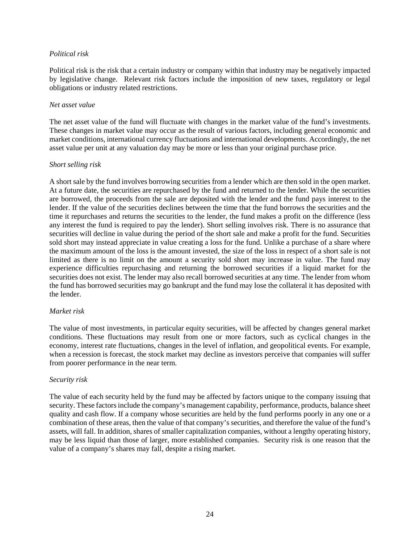#### *Political risk*

Political risk is the risk that a certain industry or company within that industry may be negatively impacted by legislative change. Relevant risk factors include the imposition of new taxes, regulatory or legal obligations or industry related restrictions.

#### *Net asset value*

The net asset value of the fund will fluctuate with changes in the market value of the fund's investments. These changes in market value may occur as the result of various factors, including general economic and market conditions, international currency fluctuations and international developments. Accordingly, the net asset value per unit at any valuation day may be more or less than your original purchase price.

#### *Short selling risk*

A short sale by the fund involves borrowing securities from a lender which are then sold in the open market. At a future date, the securities are repurchased by the fund and returned to the lender. While the securities are borrowed, the proceeds from the sale are deposited with the lender and the fund pays interest to the lender. If the value of the securities declines between the time that the fund borrows the securities and the time it repurchases and returns the securities to the lender, the fund makes a profit on the difference (less any interest the fund is required to pay the lender). Short selling involves risk. There is no assurance that securities will decline in value during the period of the short sale and make a profit for the fund. Securities sold short may instead appreciate in value creating a loss for the fund. Unlike a purchase of a share where the maximum amount of the loss is the amount invested, the size of the loss in respect of a short sale is not limited as there is no limit on the amount a security sold short may increase in value. The fund may experience difficulties repurchasing and returning the borrowed securities if a liquid market for the securities does not exist. The lender may also recall borrowed securities at any time. The lender from whom the fund has borrowed securities may go bankrupt and the fund may lose the collateral it has deposited with the lender.

#### *Market risk*

The value of most investments, in particular equity securities, will be affected by changes general market conditions. These fluctuations may result from one or more factors, such as cyclical changes in the economy, interest rate fluctuations, changes in the level of inflation, and geopolitical events. For example, when a recession is forecast, the stock market may decline as investors perceive that companies will suffer from poorer performance in the near term.

#### *Security risk*

The value of each security held by the fund may be affected by factors unique to the company issuing that security. These factors include the company's management capability, performance, products, balance sheet quality and cash flow. If a company whose securities are held by the fund performs poorly in any one or a combination of these areas, then the value of that company's securities, and therefore the value of the fund's assets, will fall. In addition, shares of smaller capitalization companies, without a lengthy operating history, may be less liquid than those of larger, more established companies. Security risk is one reason that the value of a company's shares may fall, despite a rising market.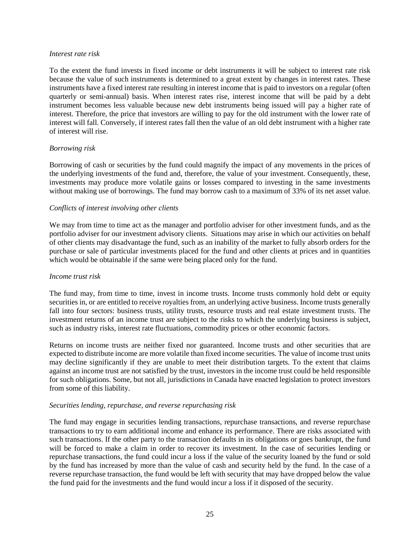#### *Interest rate risk*

To the extent the fund invests in fixed income or debt instruments it will be subject to interest rate risk because the value of such instruments is determined to a great extent by changes in interest rates. These instruments have a fixed interest rate resulting in interest income that is paid to investors on a regular (often quarterly or semi-annual) basis. When interest rates rise, interest income that will be paid by a debt instrument becomes less valuable because new debt instruments being issued will pay a higher rate of interest. Therefore, the price that investors are willing to pay for the old instrument with the lower rate of interest will fall. Conversely, if interest rates fall then the value of an old debt instrument with a higher rate of interest will rise.

#### *Borrowing risk*

Borrowing of cash or securities by the fund could magnify the impact of any movements in the prices of the underlying investments of the fund and, therefore, the value of your investment. Consequently, these, investments may produce more volatile gains or losses compared to investing in the same investments without making use of borrowings. The fund may borrow cash to a maximum of 33% of its net asset value.

#### *Conflicts of interest involving other clients*

We may from time to time act as the manager and portfolio adviser for other investment funds, and as the portfolio adviser for our investment advisory clients. Situations may arise in which our activities on behalf of other clients may disadvantage the fund, such as an inability of the market to fully absorb orders for the purchase or sale of particular investments placed for the fund and other clients at prices and in quantities which would be obtainable if the same were being placed only for the fund.

#### *Income trust risk*

The fund may, from time to time, invest in income trusts. Income trusts commonly hold debt or equity securities in, or are entitled to receive royalties from, an underlying active business. Income trusts generally fall into four sectors: business trusts, utility trusts, resource trusts and real estate investment trusts. The investment returns of an income trust are subject to the risks to which the underlying business is subject, such as industry risks, interest rate fluctuations, commodity prices or other economic factors.

Returns on income trusts are neither fixed nor guaranteed. Income trusts and other securities that are expected to distribute income are more volatile than fixed income securities. The value of income trust units may decline significantly if they are unable to meet their distribution targets. To the extent that claims against an income trust are not satisfied by the trust, investors in the income trust could be held responsible for such obligations. Some, but not all, jurisdictions in Canada have enacted legislation to protect investors from some of this liability.

#### *Securities lending, repurchase, and reverse repurchasing risk*

The fund may engage in securities lending transactions, repurchase transactions, and reverse repurchase transactions to try to earn additional income and enhance its performance. There are risks associated with such transactions. If the other party to the transaction defaults in its obligations or goes bankrupt, the fund will be forced to make a claim in order to recover its investment. In the case of securities lending or repurchase transactions, the fund could incur a loss if the value of the security loaned by the fund or sold by the fund has increased by more than the value of cash and security held by the fund. In the case of a reverse repurchase transaction, the fund would be left with security that may have dropped below the value the fund paid for the investments and the fund would incur a loss if it disposed of the security.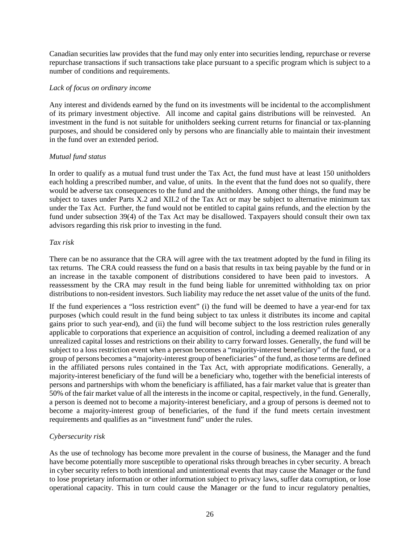Canadian securities law provides that the fund may only enter into securities lending, repurchase or reverse repurchase transactions if such transactions take place pursuant to a specific program which is subject to a number of conditions and requirements.

#### *Lack of focus on ordinary income*

Any interest and dividends earned by the fund on its investments will be incidental to the accomplishment of its primary investment objective. All income and capital gains distributions will be reinvested. An investment in the fund is not suitable for unitholders seeking current returns for financial or tax-planning purposes, and should be considered only by persons who are financially able to maintain their investment in the fund over an extended period.

#### *Mutual fund status*

In order to qualify as a mutual fund trust under the Tax Act, the fund must have at least 150 unitholders each holding a prescribed number, and value, of units. In the event that the fund does not so qualify, there would be adverse tax consequences to the fund and the unitholders. Among other things, the fund may be subject to taxes under Parts X.2 and XII.2 of the Tax Act or may be subject to alternative minimum tax under the Tax Act. Further, the fund would not be entitled to capital gains refunds, and the election by the fund under subsection 39(4) of the Tax Act may be disallowed. Taxpayers should consult their own tax advisors regarding this risk prior to investing in the fund.

#### *Tax risk*

There can be no assurance that the CRA will agree with the tax treatment adopted by the fund in filing its tax returns. The CRA could reassess the fund on a basis that results in tax being payable by the fund or in an increase in the taxable component of distributions considered to have been paid to investors. A reassessment by the CRA may result in the fund being liable for unremitted withholding tax on prior distributions to non-resident investors. Such liability may reduce the net asset value of the units of the fund.

If the fund experiences a "loss restriction event" (i) the fund will be deemed to have a year-end for tax purposes (which could result in the fund being subject to tax unless it distributes its income and capital gains prior to such year-end), and (ii) the fund will become subject to the loss restriction rules generally applicable to corporations that experience an acquisition of control, including a deemed realization of any unrealized capital losses and restrictions on their ability to carry forward losses. Generally, the fund will be subject to a loss restriction event when a person becomes a "majority-interest beneficiary" of the fund, or a group of persons becomes a "majority-interest group of beneficiaries" of the fund, as those terms are defined in the affiliated persons rules contained in the Tax Act, with appropriate modifications. Generally, a majority-interest beneficiary of the fund will be a beneficiary who, together with the beneficial interests of persons and partnerships with whom the beneficiary is affiliated, has a fair market value that is greater than 50% of the fair market value of all the interests in the income or capital, respectively, in the fund. Generally, a person is deemed not to become a majority-interest beneficiary, and a group of persons is deemed not to become a majority-interest group of beneficiaries, of the fund if the fund meets certain investment requirements and qualifies as an "investment fund" under the rules.

# *Cybersecurity risk*

As the use of technology has become more prevalent in the course of business, the Manager and the fund have become potentially more susceptible to operational risks through breaches in cyber security. A breach in cyber security refers to both intentional and unintentional events that may cause the Manager or the fund to lose proprietary information or other information subject to privacy laws, suffer data corruption, or lose operational capacity. This in turn could cause the Manager or the fund to incur regulatory penalties,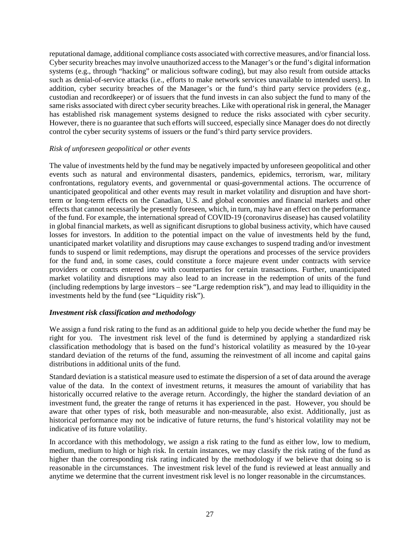reputational damage, additional compliance costs associated with corrective measures, and/or financial loss. Cyber security breaches may involve unauthorized access to the Manager's or the fund's digital information systems (e.g., through "hacking" or malicious software coding), but may also result from outside attacks such as denial-of-service attacks (i.e., efforts to make network services unavailable to intended users). In addition, cyber security breaches of the Manager's or the fund's third party service providers (e.g., custodian and recordkeeper) or of issuers that the fund invests in can also subject the fund to many of the same risks associated with direct cyber security breaches. Like with operational risk in general, the Manager has established risk management systems designed to reduce the risks associated with cyber security. However, there is no guarantee that such efforts will succeed, especially since Manager does do not directly control the cyber security systems of issuers or the fund's third party service providers.

#### *Risk of unforeseen geopolitical or other events*

The value of investments held by the fund may be negatively impacted by unforeseen geopolitical and other events such as natural and environmental disasters, pandemics, epidemics, terrorism, war, military confrontations, regulatory events, and governmental or quasi-governmental actions. The occurrence of unanticipated geopolitical and other events may result in market volatility and disruption and have shortterm or long-term effects on the Canadian, U.S. and global economies and financial markets and other effects that cannot necessarily be presently foreseen, which, in turn, may have an effect on the performance of the fund. For example, the international spread of COVID-19 (coronavirus disease) has caused volatility in global financial markets, as well as significant disruptions to global business activity, which have caused losses for investors. In addition to the potential impact on the value of investments held by the fund, unanticipated market volatility and disruptions may cause exchanges to suspend trading and/or investment funds to suspend or limit redemptions, may disrupt the operations and processes of the service providers for the fund and, in some cases, could constitute a force majeure event under contracts with service providers or contracts entered into with counterparties for certain transactions. Further, unanticipated market volatility and disruptions may also lead to an increase in the redemption of units of the fund (including redemptions by large investors – see "Large redemption risk"), and may lead to illiquidity in the investments held by the fund (see "Liquidity risk").

#### <span id="page-28-0"></span>*Investment risk classification and methodology*

We assign a fund risk rating to the fund as an additional guide to help you decide whether the fund may be right for you. The investment risk level of the fund is determined by applying a standardized risk classification methodology that is based on the fund's historical volatility as measured by the 10-year standard deviation of the returns of the fund, assuming the reinvestment of all income and capital gains distributions in additional units of the fund.

Standard deviation is a statistical measure used to estimate the dispersion of a set of data around the average value of the data. In the context of investment returns, it measures the amount of variability that has historically occurred relative to the average return. Accordingly, the higher the standard deviation of an investment fund, the greater the range of returns it has experienced in the past. However, you should be aware that other types of risk, both measurable and non-measurable, also exist. Additionally, just as historical performance may not be indicative of future returns, the fund's historical volatility may not be indicative of its future volatility.

In accordance with this methodology, we assign a risk rating to the fund as either low, low to medium, medium, medium to high or high risk. In certain instances, we may classify the risk rating of the fund as higher than the corresponding risk rating indicated by the methodology if we believe that doing so is reasonable in the circumstances. The investment risk level of the fund is reviewed at least annually and anytime we determine that the current investment risk level is no longer reasonable in the circumstances.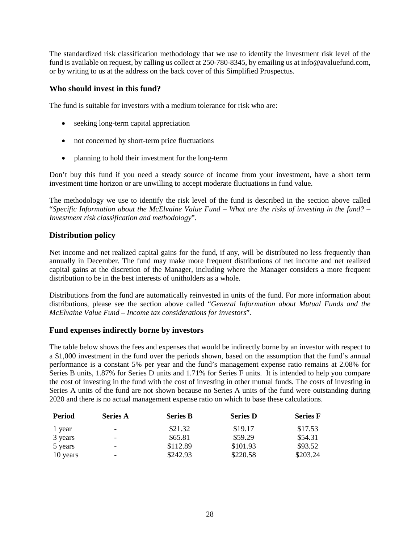The standardized risk classification methodology that we use to identify the investment risk level of the fund is available on request, by calling us collect at 250-780-8345, by emailing us at info@avaluefund.com, or by writing to us at the address on the back cover of this Simplified Prospectus.

# <span id="page-29-0"></span>**Who should invest in this fund?**

The fund is suitable for investors with a medium tolerance for risk who are:

- seeking long-term capital appreciation
- not concerned by short-term price fluctuations
- planning to hold their investment for the long-term

Don't buy this fund if you need a steady source of income from your investment, have a short term investment time horizon or are unwilling to accept moderate fluctuations in fund value.

The methodology we use to identify the risk level of the fund is described in the section above called "*Specific Information about the McElvaine Value Fund – What are the risks of investing in the fund? – Investment risk classification and methodology*".

# <span id="page-29-1"></span>**Distribution policy**

Net income and net realized capital gains for the fund, if any, will be distributed no less frequently than annually in December. The fund may make more frequent distributions of net income and net realized capital gains at the discretion of the Manager, including where the Manager considers a more frequent distribution to be in the best interests of unitholders as a whole.

Distributions from the fund are automatically reinvested in units of the fund. For more information about distributions, please see the section above called "*General Information about Mutual Funds and the McElvaine Value Fund – Income tax considerations for investors*".

#### <span id="page-29-2"></span>**Fund expenses indirectly borne by investors**

The table below shows the fees and expenses that would be indirectly borne by an investor with respect to a \$1,000 investment in the fund over the periods shown, based on the assumption that the fund's annual performance is a constant 5% per year and the fund's management expense ratio remains at 2.08% for Series B units, 1.87% for Series D units and 1.71% for Series F units. It is intended to help you compare the cost of investing in the fund with the cost of investing in other mutual funds. The costs of investing in Series A units of the fund are not shown because no Series A units of the fund were outstanding during 2020 and there is no actual management expense ratio on which to base these calculations.

| Period   | <b>Series A</b>              | <b>Series B</b> | <b>Series D</b> | <b>Series F</b> |
|----------|------------------------------|-----------------|-----------------|-----------------|
| 1 year   | $\qquad \qquad \blacksquare$ | \$21.32         | \$19.17         | \$17.53         |
| 3 years  | $\qquad \qquad \blacksquare$ | \$65.81         | \$59.29         | \$54.31         |
| 5 years  | $\overline{\phantom{a}}$     | \$112.89        | \$101.93        | \$93.52         |
| 10 years | $\overline{\phantom{a}}$     | \$242.93        | \$220.58        | \$203.24        |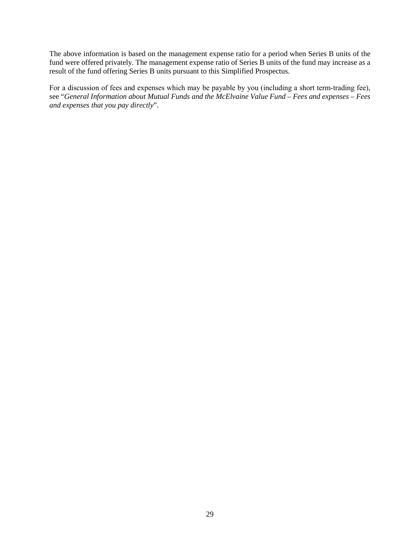The above information is based on the management expense ratio for a period when Series B units of the fund were offered privately. The management expense ratio of Series B units of the fund may increase as a result of the fund offering Series B units pursuant to this Simplified Prospectus.

For a discussion of fees and expenses which may be payable by you (including a short term-trading fee), see "*General Information about Mutual Funds and the McElvaine Value Fund – Fees and expenses – Fees and expenses that you pay directly*".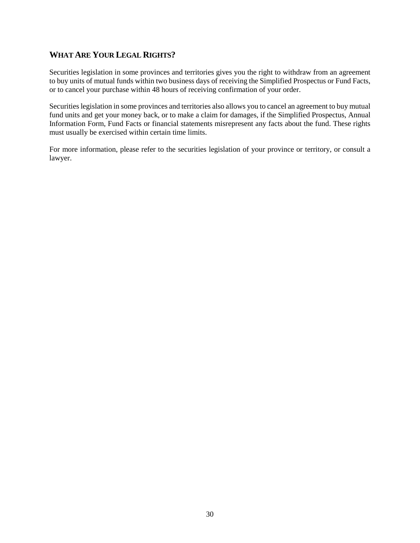# <span id="page-31-0"></span>**WHAT ARE YOUR LEGAL RIGHTS?**

Securities legislation in some provinces and territories gives you the right to withdraw from an agreement to buy units of mutual funds within two business days of receiving the Simplified Prospectus or Fund Facts, or to cancel your purchase within 48 hours of receiving confirmation of your order.

Securities legislation in some provinces and territories also allows you to cancel an agreement to buy mutual fund units and get your money back, or to make a claim for damages, if the Simplified Prospectus, Annual Information Form, Fund Facts or financial statements misrepresent any facts about the fund. These rights must usually be exercised within certain time limits.

For more information, please refer to the securities legislation of your province or territory, or consult a lawyer.